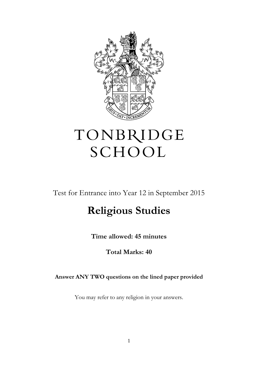

## TONBRIDGE SCHOOL

Test for Entrance into Year 12 in September 2015

## **Religious Studies**

**Time allowed: 45 minutes**

**Total Marks: 40**

**Answer ANY TWO questions on the lined paper provided**

You may refer to any religion in your answers.